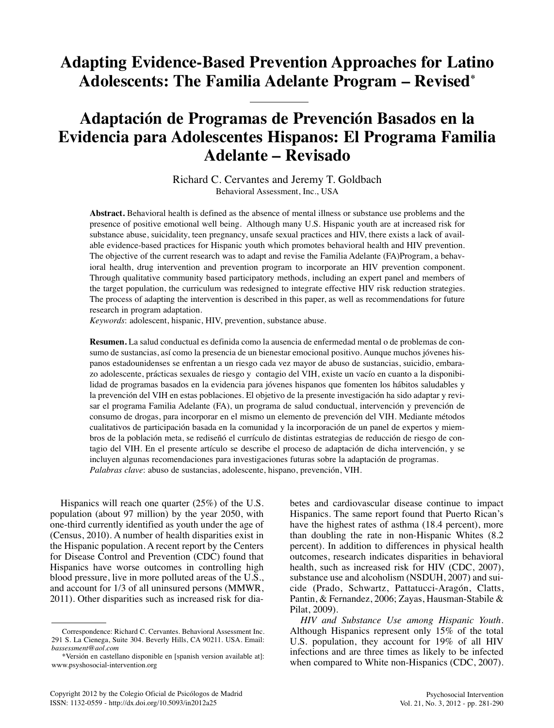# **Adapting Evidence-Based Prevention Approaches for Latino Adolescents: The Familia Adelante Program – Revised\***

# **Adaptación de Programas de Prevención Basados en la Evidencia para Adolescentes Hispanos: El Programa Familia Adelante – Revisado**

Richard C. Cervantes and Jeremy T. Goldbach Behavioral Assessment, Inc., USA

**Abstract.** Behavioral health is defined as the absence of mental illness or substance use problems and the presence of positive emotional well being. Although many U.S. Hispanic youth are at increased risk for substance abuse, suicidality, teen pregnancy, unsafe sexual practices and HIV, there exists a lack of available evidence-based practices for Hispanic youth which promotes behavioral health and HIV prevention. The objective of the current research was to adapt and revise the Familia Adelante (FA)Program, a behavioral health, drug intervention and prevention program to incorporate an HIV prevention component. Through qualitative community based participatory methods, including an expert panel and members of the target population, the curriculum was redesigned to integrate effective HIV risk reduction strategies. The process of adapting the intervention is described in this paper, as well as recommendations for future research in program adaptation.

*Keywords*: adolescent, hispanic, HIV, prevention, substance abuse.

**Resumen.** La salud conductual es definida como la ausencia de enfermedad mental o de problemas de consumo de sustancias, así como la presencia de un bienestar emocional positivo. Aunque muchos jóvenes hispanos estadounidenses se enfrentan a un riesgo cada vez mayor de abuso de sustancias, suicidio, embarazo adolescente, prácticas sexuales de riesgo y contagio del VIH, existe un vacío en cuanto a la disponibilidad de programas basados en la evidencia para jóvenes hispanos que fomenten los hábitos saludables y la prevención del VIH en estas poblaciones. El objetivo de la presente investigación ha sido adaptar y revisar el programa Familia Adelante (FA), un programa de salud conductual, intervención y prevención de consumo de drogas, para incorporar en el mismo un elemento de prevención del VIH. Mediante métodos cualitativos de participación basada en la comunidad y la incorporación de un panel de expertos y miembros de la población meta, se rediseñó el currículo de distintas estrategias de reducción de riesgo de contagio del VIH. En el presente artículo se describe el proceso de adaptación de dicha intervención, y se incluyen algunas recomendaciones para investigaciones futuras sobre la adaptación de programas. *Palabras clave*: abuso de sustancias, adolescente, hispano, prevención, VIH.

Hispanics will reach one quarter (25%) of the U.S. population (about 97 million) by the year 2050, with one-third currently identified as youth under the age of (Census, 2010). A number of health disparities exist in the Hispanic population. A recent report by the Centers for Disease Control and Prevention (CDC) found that Hispanics have worse outcomes in controlling high blood pressure, live in more polluted areas of the U.S., and account for 1/3 of all uninsured persons (MMWR, 2011). Other disparities such as increased risk for dia-

betes and cardiovascular disease continue to impact Hispanics. The same report found that Puerto Rican's have the highest rates of asthma (18.4 percent), more than doubling the rate in non-Hispanic Whites (8.2 percent). In addition to differences in physical health outcomes, research indicates disparities in behavioral health, such as increased risk for HIV (CDC, 2007), substance use and alcoholism (NSDUH, 2007) and suicide (Prado, Schwartz, Pattatucci-Aragón, Clatts, Pantin, & Fernandez, 2006; Zayas, Hausman-Stabile & Pilat, 2009).

*HIV and Substance Use among Hispanic Youth.* Although Hispanics represent only 15% of the total U.S. population, they account for 19% of all HIV infections and are three times as likely to be infected when compared to White non-Hispanics (CDC, 2007).

Correspondence: Richard C. Cervantes. Behavioral Assessment Inc. 291 S. La Cienega, Suite 304. Beverly Hills, CA 90211. USA. Email: *bassessment@aol.com*

<sup>\*</sup>Versión en castellano disponible en [spanish version available at]: www.psyshosocial-intervention.org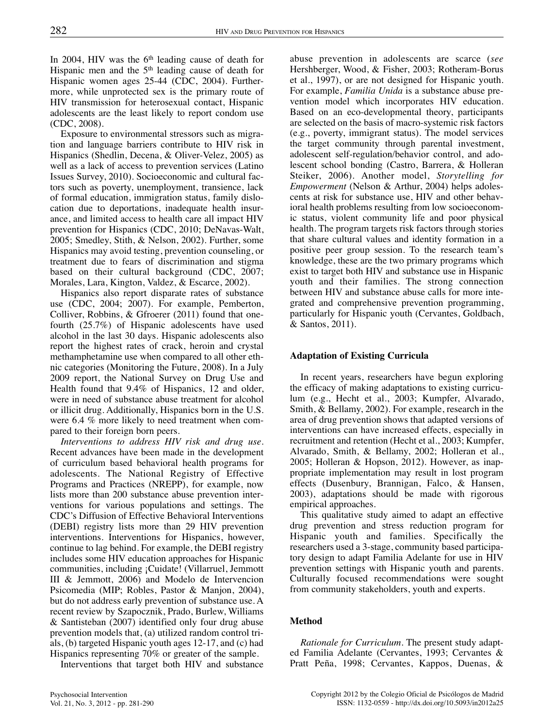In 2004, HIV was the  $6<sup>th</sup>$  leading cause of death for Hispanic men and the  $5<sup>th</sup>$  leading cause of death for Hispanic women ages 25-44 (CDC, 2004). Furthermore, while unprotected sex is the primary route of HIV transmission for heterosexual contact, Hispanic adolescents are the least likely to report condom use (CDC, 2008).

Exposure to environmental stressors such as migration and language barriers contribute to HIV risk in Hispanics (Shedlin, Decena, & Oliver-Velez, 2005) as well as a lack of access to prevention services (Latino Issues Survey, 2010). Socioeconomic and cultural factors such as poverty, unemployment, transience, lack of formal education, immigration status, family dislocation due to deportations, inadequate health insurance, and limited access to health care all impact HIV prevention for Hispanics (CDC, 2010; DeNavas-Walt, 2005; Smedley, Stith, & Nelson, 2002). Further, some Hispanics may avoid testing, prevention counseling, or treatment due to fears of discrimination and stigma based on their cultural background (CDC, 2007; Morales, Lara, Kington, Valdez, & Escarce, 2002).

Hispanics also report disparate rates of substance use (CDC, 2004; 2007). For example, Pemberton, Colliver, Robbins, & Gfroerer (2011) found that onefourth (25.7%) of Hispanic adolescents have used alcohol in the last 30 days. Hispanic adolescents also report the highest rates of crack, heroin and crystal methamphetamine use when compared to all other ethnic categories (Monitoring the Future, 2008). In a July 2009 report, the National Survey on Drug Use and Health found that 9.4% of Hispanics, 12 and older, were in need of substance abuse treatment for alcohol or illicit drug. Additionally, Hispanics born in the U.S. were 6.4 % more likely to need treatment when compared to their foreign born peers.

*Interventions to address HIV risk and drug use.* Recent advances have been made in the development of curriculum based behavioral health programs for adolescents. The National Registry of Effective Programs and Practices (NREPP), for example, now lists more than 200 substance abuse prevention interventions for various populations and settings. The CDC's Diffusion of Effective Behavioral Interventions (DEBI) registry lists more than 29 HIV prevention interventions. Interventions for Hispanics, however, continue to lag behind. For example, the DEBI registry includes some HIV education approaches for Hispanic communities, including ¡Cuidate! (Villarruel, Jemmott III & Jemmott, 2006) and Modelo de Intervencion Psicomedia (MIP; Robles, Pastor & Manjon, 2004), but do not address early prevention of substance use. A recent review by Szapocznik, Prado, Burlew, Williams & Santisteban (2007) identified only four drug abuse prevention models that, (a) utilized random control trials, (b) targeted Hispanic youth ages 12-17, and (c) had Hispanics representing 70% or greater of the sample.

Interventions that target both HIV and substance

abuse prevention in adolescents are scarce (*see* Hershberger, Wood, & Fisher, 2003; Rotheram-Borus et al., 1997), or are not designed for Hispanic youth. For example, *Familia Unida* is a substance abuse prevention model which incorporates HIV education. Based on an eco-developmental theory, participants are selected on the basis of macro-systemic risk factors (e.g., poverty, immigrant status). The model services the target community through parental investment, adolescent self-regulation/behavior control, and adolescent school bonding (Castro, Barrera, & Holleran Steiker, 2006). Another model, *Storytelling for Empowerment* (Nelson & Arthur, 2004) helps adolescents at risk for substance use, HIV and other behavioral health problems resulting from low socioeconomic status, violent community life and poor physical health. The program targets risk factors through stories that share cultural values and identity formation in a positive peer group session. To the research team's knowledge, these are the two primary programs which exist to target both HIV and substance use in Hispanic youth and their families. The strong connection between HIV and substance abuse calls for more integrated and comprehensive prevention programming, particularly for Hispanic youth (Cervantes, Goldbach, & Santos, 2011).

#### **Adaptation of Existing Curricula**

In recent years, researchers have begun exploring the efficacy of making adaptations to existing curriculum (e.g., Hecht et al., 2003; Kumpfer, Alvarado, Smith, & Bellamy, 2002). For example, research in the area of drug prevention shows that adapted versions of interventions can have increased effects, especially in recruitment and retention (Hecht et al., 2003; Kumpfer, Alvarado, Smith, & Bellamy, 2002; Holleran et al., 2005; Holleran & Hopson, 2012). However, as inappropriate implementation may result in lost program effects (Dusenbury, Brannigan, Falco, & Hansen, 2003), adaptations should be made with rigorous empirical approaches.

This qualitative study aimed to adapt an effective drug prevention and stress reduction program for Hispanic youth and families. Specifically the researchers used a 3-stage, community based participatory design to adapt Familia Adelante for use in HIV prevention settings with Hispanic youth and parents. Culturally focused recommendations were sought from community stakeholders, youth and experts.

## **Method**

*Rationale for Curriculum.* The present study adapted Familia Adelante (Cervantes, 1993; Cervantes & Pratt Peña, 1998; Cervantes, Kappos, Duenas, &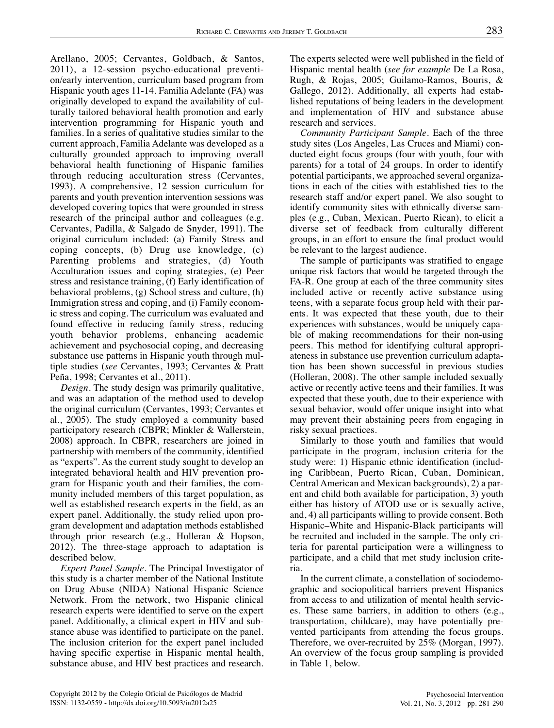Arellano, 2005; Cervantes, Goldbach, & Santos, 2011), a 12-session psycho-educational prevention/early intervention, curriculum based program from Hispanic youth ages 11-14. Familia Adelante (FA) was originally developed to expand the availability of culturally tailored behavioral health promotion and early intervention programming for Hispanic youth and families. In a series of qualitative studies similar to the current approach, Familia Adelante was developed as a culturally grounded approach to improving overall behavioral health functioning of Hispanic families through reducing acculturation stress (Cervantes, 1993). A comprehensive, 12 session curriculum for parents and youth prevention intervention sessions was developed covering topics that were grounded in stress research of the principal author and colleagues (e.g. Cervantes, Padilla, & Salgado de Snyder, 1991). The original curriculum included: (a) Family Stress and coping concepts, (b) Drug use knowledge, (c) Parenting problems and strategies, (d) Youth Acculturation issues and coping strategies, (e) Peer stress and resistance training, (f) Early identification of behavioral problems, (g) School stress and culture, (h) Immigration stress and coping, and (i) Family economic stress and coping. The curriculum was evaluated and found effective in reducing family stress, reducing youth behavior problems, enhancing academic achievement and psychosocial coping, and decreasing substance use patterns in Hispanic youth through multiple studies (*see* Cervantes, 1993; Cervantes & Pratt Peña, 1998; Cervantes et al., 2011).

*Design.* The study design was primarily qualitative, and was an adaptation of the method used to develop the original curriculum (Cervantes, 1993; Cervantes et al., 2005). The study employed a community based participatory research (CBPR; Minkler & Wallerstein, 2008) approach. In CBPR, researchers are joined in partnership with members of the community, identified as "experts". As the current study sought to develop an integrated behavioral health and HIV prevention program for Hispanic youth and their families, the community included members of this target population, as well as established research experts in the field, as an expert panel. Additionally, the study relied upon program development and adaptation methods established through prior research (e.g., Holleran & Hopson, 2012). The three-stage approach to adaptation is described below.

*Expert Panel Sample.* The Principal Investigator of this study is a charter member of the National Institute on Drug Abuse (NIDA) National Hispanic Science Network. From the network, two Hispanic clinical research experts were identified to serve on the expert panel. Additionally, a clinical expert in HIV and substance abuse was identified to participate on the panel. The inclusion criterion for the expert panel included having specific expertise in Hispanic mental health, substance abuse, and HIV best practices and research. The experts selected were well published in the field of Hispanic mental health (*see for example* De La Rosa, Rugh, & Rojas, 2005; Guilamo-Ramos, Bouris, & Gallego, 2012). Additionally, all experts had established reputations of being leaders in the development and implementation of HIV and substance abuse research and services.

*Community Participant Sample.* Each of the three study sites (Los Angeles, Las Cruces and Miami) conducted eight focus groups (four with youth, four with parents) for a total of 24 groups. In order to identify potential participants, we approached several organizations in each of the cities with established ties to the research staff and/or expert panel. We also sought to identify community sites with ethnically diverse samples (e.g., Cuban, Mexican, Puerto Rican), to elicit a diverse set of feedback from culturally different groups, in an effort to ensure the final product would be relevant to the largest audience.

The sample of participants was stratified to engage unique risk factors that would be targeted through the FA-R. One group at each of the three community sites included active or recently active substance using teens, with a separate focus group held with their parents. It was expected that these youth, due to their experiences with substances, would be uniquely capable of making recommendations for their non-using peers. This method for identifying cultural appropriateness in substance use prevention curriculum adaptation has been shown successful in previous studies (Holleran, 2008). The other sample included sexually active or recently active teens and their families. It was expected that these youth, due to their experience with sexual behavior, would offer unique insight into what may prevent their abstaining peers from engaging in risky sexual practices.

Similarly to those youth and families that would participate in the program, inclusion criteria for the study were: 1) Hispanic ethnic identification (including Caribbean, Puerto Rican, Cuban, Dominican, Central American and Mexican backgrounds), 2) a parent and child both available for participation, 3) youth either has history of ATOD use or is sexually active, and, 4) all participants willing to provide consent. Both Hispanic–White and Hispanic-Black participants will be recruited and included in the sample. The only criteria for parental participation were a willingness to participate, and a child that met study inclusion criteria.

In the current climate, a constellation of sociodemographic and sociopolitical barriers prevent Hispanics from access to and utilization of mental health services. These same barriers, in addition to others (e.g., transportation, childcare), may have potentially prevented participants from attending the focus groups. Therefore, we over-recruited by 25% (Morgan, 1997). An overview of the focus group sampling is provided in Table 1, below.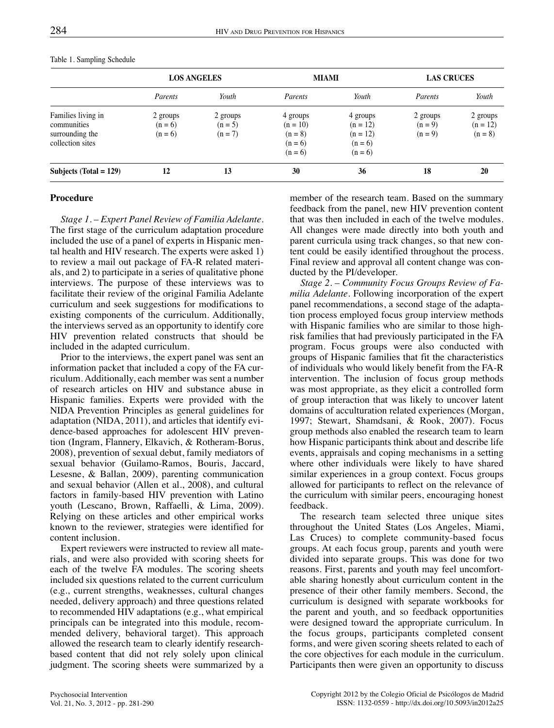|                                                                          | <b>LOS ANGELES</b>                 |                                    | <b>MIAMI</b>                                                  |                                                                | <b>LAS CRUCES</b>                  |                                     |
|--------------------------------------------------------------------------|------------------------------------|------------------------------------|---------------------------------------------------------------|----------------------------------------------------------------|------------------------------------|-------------------------------------|
|                                                                          | Parents                            | Youth                              | Parents                                                       | Youth                                                          | Parents                            | Youth                               |
| Families living in<br>communities<br>surrounding the<br>collection sites | 2 groups<br>$(n = 6)$<br>$(n = 6)$ | 2 groups<br>$(n = 5)$<br>$(n = 7)$ | 4 groups<br>$(n = 10)$<br>$(n = 8)$<br>$(n = 6)$<br>$(n = 6)$ | 4 groups<br>$(n = 12)$<br>$(n = 12)$<br>$(n = 6)$<br>$(n = 6)$ | 2 groups<br>$(n = 9)$<br>$(n = 9)$ | 2 groups<br>$(n = 12)$<br>$(n = 8)$ |
| Subjects (Total = $129$ )                                                | 12                                 | 13                                 | 30                                                            | 36                                                             | 18                                 | 20                                  |

#### Table 1. Sampling Schedule

# **Procedure**

*Stage 1. – Expert Panel Review of Familia Adelante.* The first stage of the curriculum adaptation procedure included the use of a panel of experts in Hispanic mental health and HIV research. The experts were asked 1) to review a mail out package of FA-R related materials, and 2) to participate in a series of qualitative phone interviews. The purpose of these interviews was to facilitate their review of the original Familia Adelante curriculum and seek suggestions for modifications to existing components of the curriculum. Additionally, the interviews served as an opportunity to identify core HIV prevention related constructs that should be included in the adapted curriculum.

Prior to the interviews, the expert panel was sent an information packet that included a copy of the FA curriculum. Additionally, each member was sent a number of research articles on HIV and substance abuse in Hispanic families. Experts were provided with the NIDA Prevention Principles as general guidelines for adaptation (NIDA, 2011), and articles that identify evidence-based approaches for adolescent HIV prevention (Ingram, Flannery, Elkavich, & Rotheram-Borus, 2008), prevention of sexual debut, family mediators of sexual behavior (Guilamo-Ramos, Bouris, Jaccard, Lesesne, & Ballan, 2009), parenting communication and sexual behavior (Allen et al., 2008), and cultural factors in family-based HIV prevention with Latino youth (Lescano, Brown, Raffaelli, & Lima, 2009). Relying on these articles and other empirical works known to the reviewer, strategies were identified for content inclusion.

Expert reviewers were instructed to review all materials, and were also provided with scoring sheets for each of the twelve FA modules. The scoring sheets included six questions related to the current curriculum (e.g., current strengths, weaknesses, cultural changes needed, delivery approach) and three questions related to recommended HIV adaptations (e.g., what empirical principals can be integrated into this module, recommended delivery, behavioral target). This approach allowed the research team to clearly identify researchbased content that did not rely solely upon clinical judgment. The scoring sheets were summarized by a

member of the research team. Based on the summary feedback from the panel, new HIV prevention content that was then included in each of the twelve modules. All changes were made directly into both youth and parent curricula using track changes, so that new content could be easily identified throughout the process. Final review and approval all content change was conducted by the PI/developer.

*Stage 2. – Community Focus Groups Review of Familia Adelante.* Following incorporation of the expert panel recommendations, a second stage of the adaptation process employed focus group interview methods with Hispanic families who are similar to those highrisk families that had previously participated in the FA program. Focus groups were also conducted with groups of Hispanic families that fit the characteristics of individuals who would likely benefit from the FA-R intervention. The inclusion of focus group methods was most appropriate, as they elicit a controlled form of group interaction that was likely to uncover latent domains of acculturation related experiences (Morgan, 1997; Stewart, Shamdsani, & Rook, 2007). Focus group methods also enabled the research team to learn how Hispanic participants think about and describe life events, appraisals and coping mechanisms in a setting where other individuals were likely to have shared similar experiences in a group context. Focus groups allowed for participants to reflect on the relevance of the curriculum with similar peers, encouraging honest feedback.

The research team selected three unique sites throughout the United States (Los Angeles, Miami, Las Cruces) to complete community-based focus groups. At each focus group, parents and youth were divided into separate groups. This was done for two reasons. First, parents and youth may feel uncomfortable sharing honestly about curriculum content in the presence of their other family members. Second, the curriculum is designed with separate workbooks for the parent and youth, and so feedback opportunities were designed toward the appropriate curriculum. In the focus groups, participants completed consent forms, and were given scoring sheets related to each of the core objectives for each module in the curriculum. Participants then were given an opportunity to discuss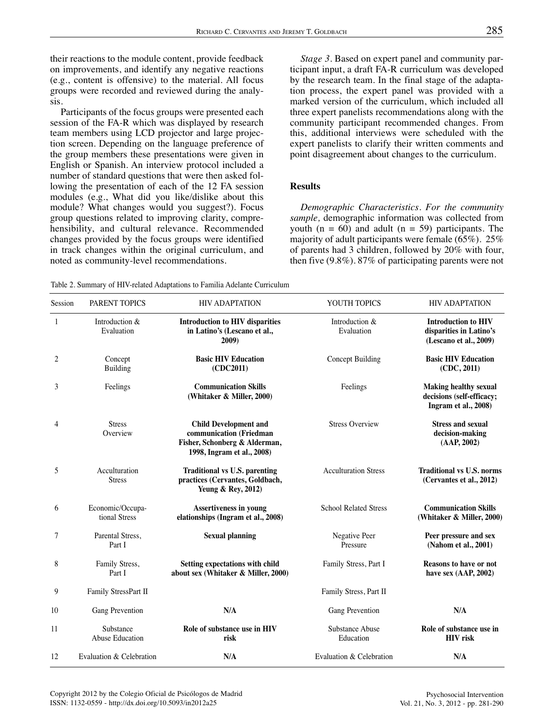their reactions to the module content, provide feedback on improvements, and identify any negative reactions (e.g., content is offensive) to the material. All focus groups were recorded and reviewed during the analysis.

Participants of the focus groups were presented each session of the FA-R which was displayed by research team members using LCD projector and large projection screen. Depending on the language preference of the group members these presentations were given in English or Spanish. An interview protocol included a number of standard questions that were then asked following the presentation of each of the 12 FA session modules (e.g., What did you like/dislike about this module? What changes would you suggest?). Focus group questions related to improving clarity, comprehensibility, and cultural relevance. Recommended changes provided by the focus groups were identified in track changes within the original curriculum, and noted as community-level recommendations.

*Stage 3.* Based on expert panel and community participant input, a draft FA-R curriculum was developed by the research team. In the final stage of the adaptation process, the expert panel was provided with a marked version of the curriculum, which included all three expert panelists recommendations along with the community participant recommended changes. From this, additional interviews were scheduled with the expert panelists to clarify their written comments and point disagreement about changes to the curriculum.

## **Results**

*Demographic Characteristics. For the community sample,* demographic information was collected from youth  $(n = 60)$  and adult  $(n = 59)$  participants. The majority of adult participants were female (65%). 25% of parents had 3 children, followed by 20% with four, then five (9.8%). 87% of participating parents were not

Table 2. Summary of HIV-related Adaptations to Familia Adelante Curriculum

| Session | PARENT TOPICS                     | <b>HIV ADAPTATION</b>                                                                                                  | YOUTH TOPICS                        | <b>HIV ADAPTATION</b>                                                             |
|---------|-----------------------------------|------------------------------------------------------------------------------------------------------------------------|-------------------------------------|-----------------------------------------------------------------------------------|
| 1       | Introduction &<br>Evaluation      | <b>Introduction to HIV disparities</b><br>in Latino's (Lescano et al.,<br>2009)                                        | Introduction &<br>Evaluation        | <b>Introduction to HIV</b><br>disparities in Latino's<br>(Lescano et al., 2009)   |
| 2       | Concept<br>Building               | <b>Basic HIV Education</b><br>(CDC2011)                                                                                | Concept Building                    | <b>Basic HIV Education</b><br>(CDC, 2011)                                         |
| 3       | Feelings                          | <b>Communication Skills</b><br>(Whitaker & Miller, 2000)                                                               | Feelings                            | <b>Making healthy sexual</b><br>decisions (self-efficacy;<br>Ingram et al., 2008) |
| 4       | <b>Stress</b><br>Overview         | <b>Child Development and</b><br>communication (Friedman<br>Fisher, Schonberg & Alderman,<br>1998, Ingram et al., 2008) | <b>Stress Overview</b>              | <b>Stress and sexual</b><br>decision-making<br>(AAP, 2002)                        |
| 5       | Acculturation<br><b>Stress</b>    | <b>Traditional vs U.S. parenting</b><br>practices (Cervantes, Goldbach,<br>Yeung & Rey, 2012)                          | <b>Acculturation Stress</b>         | <b>Traditional vs U.S. norms</b><br>(Cervantes et al., 2012)                      |
| 6       | Economic/Occupa-<br>tional Stress | <b>Assertiveness in young</b><br>elationships (Ingram et al., 2008)                                                    | <b>School Related Stress</b>        | <b>Communication Skills</b><br>(Whitaker & Miller, 2000)                          |
| 7       | Parental Stress,<br>Part I        | <b>Sexual planning</b>                                                                                                 | Negative Peer<br>Pressure           | Peer pressure and sex<br>(Nahom et al., 2001)                                     |
| 8       | Family Stress,<br>Part I          | Setting expectations with child<br>about sex (Whitaker & Miller, 2000)                                                 | Family Stress, Part I               | <b>Reasons to have or not</b><br>have sex $(AAP, 2002)$                           |
| 9       | Family StressPart II              |                                                                                                                        | Family Stress, Part II              |                                                                                   |
| 10      | Gang Prevention                   | N/A                                                                                                                    | Gang Prevention                     | N/A                                                                               |
| 11      | Substance<br>Abuse Education      | Role of substance use in HIV<br>risk                                                                                   | <b>Substance Abuse</b><br>Education | Role of substance use in<br><b>HIV</b> risk                                       |
| 12      | Evaluation & Celebration          | N/A                                                                                                                    | Evaluation & Celebration            | N/A                                                                               |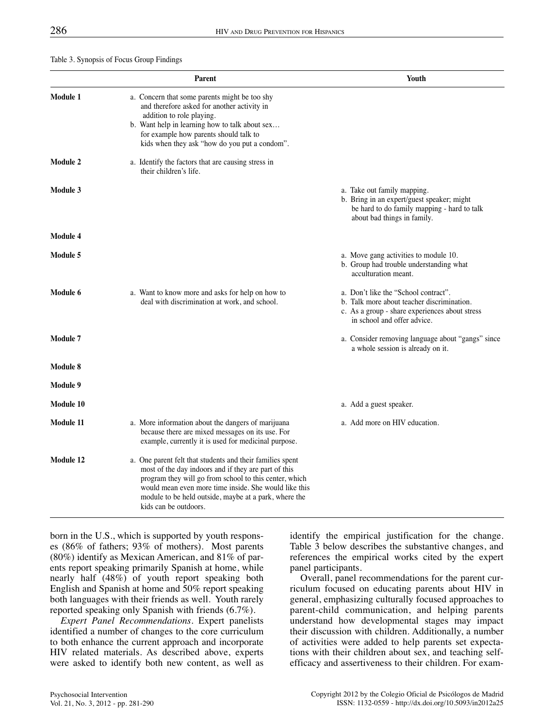#### Table 3. Synopsis of Focus Group Findings

|                  | Parent                                                                                                                                                                                                                                                                                                                 | Youth                                                                                                                                                               |
|------------------|------------------------------------------------------------------------------------------------------------------------------------------------------------------------------------------------------------------------------------------------------------------------------------------------------------------------|---------------------------------------------------------------------------------------------------------------------------------------------------------------------|
| <b>Module 1</b>  | a. Concern that some parents might be too shy<br>and therefore asked for another activity in<br>addition to role playing.<br>b. Want help in learning how to talk about sex<br>for example how parents should talk to<br>kids when they ask "how do you put a condom".                                                 |                                                                                                                                                                     |
| Module 2         | a. Identify the factors that are causing stress in<br>their children's life.                                                                                                                                                                                                                                           |                                                                                                                                                                     |
| Module 3         |                                                                                                                                                                                                                                                                                                                        | a. Take out family mapping.<br>b. Bring in an expert/guest speaker; might<br>be hard to do family mapping - hard to talk<br>about bad things in family.             |
| Module 4         |                                                                                                                                                                                                                                                                                                                        |                                                                                                                                                                     |
| Module 5         |                                                                                                                                                                                                                                                                                                                        | a. Move gang activities to module 10.<br>b. Group had trouble understanding what<br>acculturation meant.                                                            |
| Module 6         | a. Want to know more and asks for help on how to<br>deal with discrimination at work, and school.                                                                                                                                                                                                                      | a. Don't like the "School contract".<br>b. Talk more about teacher discrimination.<br>c. As a group - share experiences about stress<br>in school and offer advice. |
| Module 7         |                                                                                                                                                                                                                                                                                                                        | a. Consider removing language about "gangs" since<br>a whole session is already on it.                                                                              |
| Module 8         |                                                                                                                                                                                                                                                                                                                        |                                                                                                                                                                     |
| <b>Module 9</b>  |                                                                                                                                                                                                                                                                                                                        |                                                                                                                                                                     |
| Module 10        |                                                                                                                                                                                                                                                                                                                        | a. Add a guest speaker.                                                                                                                                             |
| <b>Module 11</b> | a. More information about the dangers of marijuana<br>because there are mixed messages on its use. For<br>example, currently it is used for medicinal purpose.                                                                                                                                                         | a. Add more on HIV education.                                                                                                                                       |
| <b>Module 12</b> | a. One parent felt that students and their families spent<br>most of the day indoors and if they are part of this<br>program they will go from school to this center, which<br>would mean even more time inside. She would like this<br>module to be held outside, maybe at a park, where the<br>kids can be outdoors. |                                                                                                                                                                     |

born in the U.S., which is supported by youth responses (86% of fathers; 93% of mothers). Most parents (80%) identify as Mexican American, and 81% of parents report speaking primarily Spanish at home, while nearly half (48%) of youth report speaking both English and Spanish at home and 50% report speaking both languages with their friends as well. Youth rarely reported speaking only Spanish with friends (6.7%).

*Expert Panel Recommendations.* Expert panelists identified a number of changes to the core curriculum to both enhance the current approach and incorporate HIV related materials. As described above, experts were asked to identify both new content, as well as

identify the empirical justification for the change. Table 3 below describes the substantive changes, and references the empirical works cited by the expert panel participants.

Overall, panel recommendations for the parent curriculum focused on educating parents about HIV in general, emphasizing culturally focused approaches to parent-child communication, and helping parents understand how developmental stages may impact their discussion with children. Additionally, a number of activities were added to help parents set expectations with their children about sex, and teaching selfefficacy and assertiveness to their children. For exam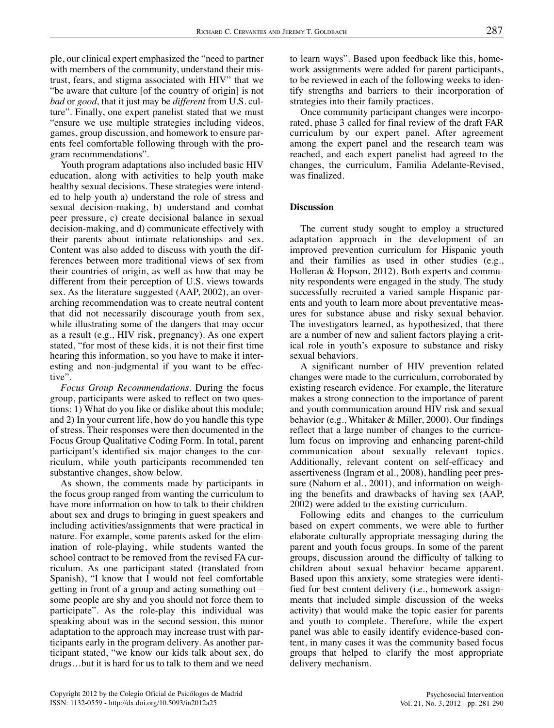ple, our clinical expert emphasized the "need to partner with members of the community, understand their mistrust, fears, and stigma associated with HIV" that we "be aware that culture [of the country of origin] is not *bad* or *good,* that it just may be *different* from U.S. culture". Finally, one expert panelist stated that we must "ensure we use multiple strategies including videos, games, group discussion, and homework to ensure parents feel comfortable following through with the program recommendations".

Youth program adaptations also included basic HIV education, along with activities to help youth make healthy sexual decisions. These strategies were intended to help youth a) understand the role of stress and sexual decision-making, b) understand and combat peer pressure, c) create decisional balance in sexual decision-making, and d) communicate effectively with their parents about intimate relationships and sex. Content was also added to discuss with youth the differences between more traditional views of sex from their countries of origin, as well as how that may be different from their perception of U.S. views towards sex. As the literature suggested (AAP, 2002), an overarching recommendation was to create neutral content that did not necessarily discourage youth from sex, while illustrating some of the dangers that may occur as a result (e.g., HIV risk, pregnancy). As one expert stated, "for most of these kids, it is not their first time hearing this information, so you have to make it interesting and non-judgmental if you want to be effective".

*Focus Group Recommendations.* During the focus group, participants were asked to reflect on two questions: 1) What do you like or dislike about this module; and 2) In your current life, how do you handle this type of stress. Their responses were then documented in the Focus Group Qualitative Coding Form. In total, parent participant's identified six major changes to the curriculum, while youth participants recommended ten substantive changes, show below.

As shown, the comments made by participants in the focus group ranged from wanting the curriculum to have more information on how to talk to their children about sex and drugs to bringing in guest speakers and including activities/assignments that were practical in nature. For example, some parents asked for the elimination of role-playing, while students wanted the school contract to be removed from the revised FA curriculum. As one participant stated (translated from Spanish), "I know that I would not feel comfortable getting in front of a group and acting something out – some people are shy and you should not force them to participate". As the role-play this individual was speaking about was in the second session, this minor adaptation to the approach may increase trust with participants early in the program delivery. As another participant stated, "we know our kids talk about sex, do drugs…but it is hard for us to talk to them and we need to learn ways". Based upon feedback like this, homework assignments were added for parent participants, to be reviewed in each of the following weeks to identify strengths and barriers to their incorporation of strategies into their family practices.

Once community participant changes were incorporated, phase 3 called for final review of the draft FAR curriculum by our expert panel. After agreement among the expert panel and the research team was reached, and each expert panelist had agreed to the changes, the curriculum, Familia Adelante-Revised, was finalized.

## **Discussion**

The current study sought to employ a structured adaptation approach in the development of an improved prevention curriculum for Hispanic youth and their families as used in other studies (e.g., Holleran & Hopson, 2012). Both experts and community respondents were engaged in the study. The study successfully recruited a varied sample Hispanic parents and youth to learn more about preventative measures for substance abuse and risky sexual behavior. The investigators learned, as hypothesized, that there are a number of new and salient factors playing a critical role in youth's exposure to substance and risky sexual behaviors.

A significant number of HIV prevention related changes were made to the curriculum, corroborated by existing research evidence. For example, the literature makes a strong connection to the importance of parent and youth communication around HIV risk and sexual behavior (e.g., Whitaker & Miller, 2000). Our findings reflect that a large number of changes to the curriculum focus on improving and enhancing parent-child communication about sexually relevant topics. Additionally, relevant content on self-efficacy and assertiveness (Ingram et al., 2008), handling peer pressure (Nahom et al., 2001), and information on weighing the benefits and drawbacks of having sex (AAP, 2002) were added to the existing curriculum.

Following edits and changes to the curriculum based on expert comments, we were able to further elaborate culturally appropriate messaging during the parent and youth focus groups. In some of the parent groups, discussion around the difficulty of talking to children about sexual behavior became apparent. Based upon this anxiety, some strategies were identified for best content delivery (i.e., homework assignments that included simple discussion of the weeks activity) that would make the topic easier for parents and youth to complete. Therefore, while the expert panel was able to easily identify evidence-based content, in many cases it was the community based focus groups that helped to clarify the most appropriate delivery mechanism.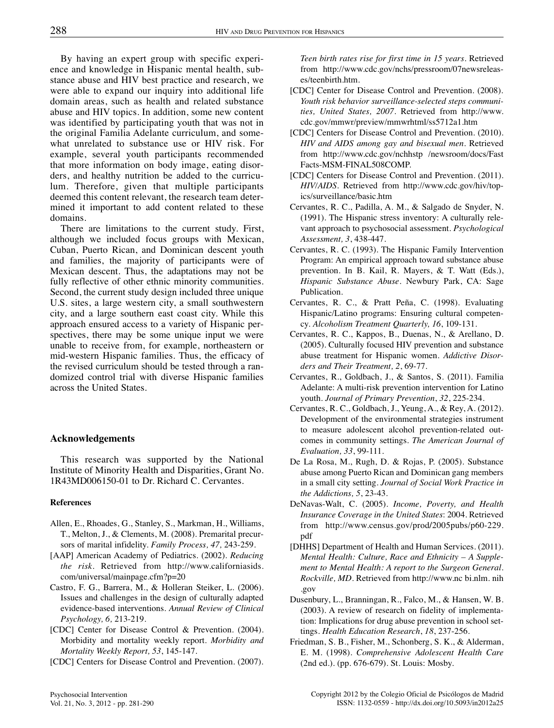By having an expert group with specific experience and knowledge in Hispanic mental health, substance abuse and HIV best practice and research, we were able to expand our inquiry into additional life domain areas, such as health and related substance abuse and HIV topics. In addition, some new content was identified by participating youth that was not in the original Familia Adelante curriculum, and somewhat unrelated to substance use or HIV risk. For example, several youth participants recommended that more information on body image, eating disorders, and healthy nutrition be added to the curriculum. Therefore, given that multiple participants deemed this content relevant, the research team determined it important to add content related to these domains.

There are limitations to the current study. First, although we included focus groups with Mexican, Cuban, Puerto Rican, and Dominican descent youth and families, the majority of participants were of Mexican descent. Thus, the adaptations may not be fully reflective of other ethnic minority communities. Second, the current study design included three unique U.S. sites, a large western city, a small southwestern city, and a large southern east coast city. While this approach ensured access to a variety of Hispanic perspectives, there may be some unique input we were unable to receive from, for example, northeastern or mid-western Hispanic families. Thus, the efficacy of the revised curriculum should be tested through a randomized control trial with diverse Hispanic families across the United States.

# **Acknowledgements**

This research was supported by the National Institute of Minority Health and Disparities, Grant No. 1R43MD006150-01 to Dr. Richard C. Cervantes.

## **References**

- Allen, E., Rhoades, G., Stanley, S., Markman, H., Williams, T., Melton, J., & Clements, M. (2008). Premarital precursors of marital infidelity. *Family Process, 47,* 243-259.
- [AAP] American Academy of Pediatrics. (2002). *Reducing the risk*. Retrieved from http://www.californiasids. com/universal/mainpage.cfm?p=20
- Castro, F. G., Barrera, M., & Holleran Steiker, L. (2006). Issues and challenges in the design of culturally adapted evidence-based interventions. *Annual Review of Clinical Psychology, 6,* 213-219.
- [CDC] Center for Disease Control & Prevention. (2004). Morbidity and mortality weekly report. *Morbidity and Mortality Weekly Report, 53*, 145-147.
- [CDC] Centers for Disease Control and Prevention. (2007).

*Teen birth rates rise for first time in 15 years*. Retrieved from http://www.cdc.gov/nchs/pressroom/07newsreleases/teenbirth.htm.

- [CDC] Center for Disease Control and Prevention. (2008). *Youth risk behavior surveillance-selected steps communities, United States, 2007*. Retrieved from http://www. cdc.gov/mmwr/preview/mmwrhtml/ss5712a1.htm
- [CDC] Centers for Disease Control and Prevention. (2010). *HIV and AIDS among gay and bisexual men*. Retrieved from http://www.cdc.gov/nchhstp /newsroom/docs/Fast Facts-MSM-FINAL508COMP.
- [CDC] Centers for Disease Control and Prevention. (2011). *HIV/AIDS*. Retrieved from http://www.cdc.gov/hiv/topics/surveillance/basic.htm
- Cervantes, R. C., Padilla, A. M., & Salgado de Snyder, N. (1991). The Hispanic stress inventory: A culturally relevant approach to psychosocial assessment. *Psychological Assessment, 3*, 438-447.
- Cervantes, R. C. (1993). The Hispanic Family Intervention Program: An empirical approach toward substance abuse prevention. In B. Kail, R. Mayers, & T. Watt (Eds.), *Hispanic Substance Abuse.* Newbury Park, CA: Sage Publication.
- Cervantes, R. C., & Pratt Peña, C. (1998). Evaluating Hispanic/Latino programs: Ensuring cultural competency. *Alcoholism Treatment Quarterly, 16*, 109-131.
- Cervantes, R. C., Kappos, B., Duenas, N., & Arellano, D. (2005). Culturally focused HIV prevention and substance abuse treatment for Hispanic women. *Addictive Disorders and Their Treatment, 2*, 69-77.
- Cervantes, R., Goldbach, J., & Santos, S. (2011). Familia Adelante: A multi-risk prevention intervention for Latino youth. *Journal of Primary Prevention*, *32*, 225-234.
- Cervantes, R. C., Goldbach, J., yeung, A., & Rey, A. (2012). Development of the environmental strategies instrument to measure adolescent alcohol prevention-related outcomes in community settings. *The American Journal of Evaluation, 33*, 99-111.
- De La Rosa, M., Rugh, D. & Rojas, P. (2005). Substance abuse among Puerto Rican and Dominican gang members in a small city setting. *Journal of Social Work Practice in the Addictions, 5*, 23-43.
- DeNavas-Walt, C. (2005). *Income, Poverty, and Health Insurance Coverage in the United States*: 2004. Retrieved from http://www.census.gov/prod**/**2005pubs/p60-229. pdf
- [DHHS] Department of Health and Human Services. (2011). *Mental Health: Culture, Race and Ethnicity – A Supplement to Mental Health: A report to the Surgeon General. Rockville, MD*. Retrieved from http://www.nc bi.nlm. nih .gov
- Dusenbury, L., Branningan, R., Falco, M., & Hansen, W. B. (2003). A review of research on fidelity of implementation: Implications for drug abuse prevention in school settings. *Health Education Research*, *18*, 237-256.
- Friedman, S. B., Fisher, M., Schonberg, S. K., & Alderman, E. M. (1998). *Comprehensive Adolescent Health Care* (2nd ed.). (pp. 676-679). St. Louis: Mosby.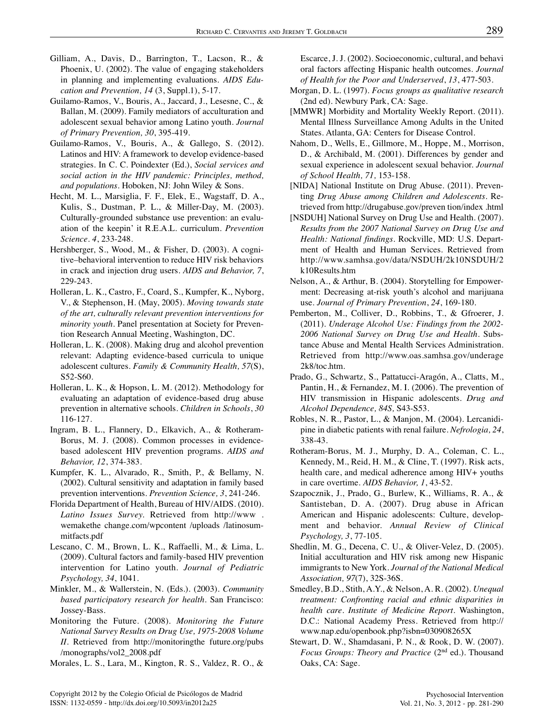- Gilliam, A., Davis, D., Barrington, T., Lacson, R., & Phoenix, U. (2002). The value of engaging stakeholders in planning and implementing evaluations. *AIDS Education and Prevention, 14* (3, Suppl.1), 5-17.
- Guilamo-Ramos, V., Bouris, A., Jaccard, J., Lesesne, C., & Ballan, M. (2009). Family mediators of acculturation and adolescent sexual behavior among Latino youth. *Journal of Primary Prevention, 30*, 395-419.
- Guilamo-Ramos, V., Bouris, A., & Gallego, S. (2012). Latinos and HIV: A framework to develop evidence-based strategies. In C. C. Poindexter (Ed.), *Social services and social action in the HIV pandemic: Principles, method, and populations*. Hoboken, NJ: John Wiley & Sons.
- Hecht, M. L., Marsiglia, F. F., Elek, E., Wagstaff, D. A., Kulis, S., Dustman, P. L., & Miller-Day, M. (2003). Culturally-grounded substance use prevention: an evaluation of the keepin' it R.E.A.L. curriculum. *Prevention Science. 4*, 233-248.
- Hershberger, S., Wood, M., & Fisher, D. (2003). A cognitive–behavioral intervention to reduce HIV risk behaviors in crack and injection drug users. *AIDS and Behavior, 7*, 229-243.
- Holleran, L. K., Castro, F., Coard, S., Kumpfer, K., Nyborg, V., & Stephenson, H. (May, 2005). *Moving towards state of the art, culturally relevant prevention interventions for minority youth*. Panel presentation at Society for Prevention Research Annual Meeting, Washington, DC.
- Holleran, L. K. (2008). Making drug and alcohol prevention relevant: Adapting evidence-based curricula to unique adolescent cultures. *Family & Community Health, 57*(S), S52-S60.
- Holleran, L. K., & Hopson, L. M. (2012). Methodology for evaluating an adaptation of evidence-based drug abuse prevention in alternative schools. *Children in Schools*, *30* 116-127.
- Ingram, B. L., Flannery, D., Elkavich, A., & Rotheram-Borus, M. J. (2008). Common processes in evidencebased adolescent HIV prevention programs. *AIDS and Behavior, 12*, 374-383.
- Kumpfer, K. L., Alvarado, R., Smith, P., & Bellamy, N. (2002). Cultural sensitivity and adaptation in family based prevention interventions. *Prevention Science, 3*, 241-246.
- Florida Department of Health, Bureau of HIV/AIDS. (2010). *Latino Issues Survey.* Retrieved from http://www . wemakethe change.com/wpcontent /uploads /latinosummitfacts.pdf
- Lescano, C. M., Brown, L. K., Raffaelli, M., & Lima, L. (2009). Cultural factors and family-based HIV prevention intervention for Latino youth. *Journal of Pediatric Psychology, 34*, 1041.
- Minkler, M., & Wallerstein, N. (Eds.). (2003). *Community based participatory research for health*. San Francisco: Jossey-Bass.
- Monitoring the Future. (2008). *Monitoring the Future National Survey Results on Drug Use, 1975-2008 Volume II*. Retrieved from http://monitoringthe future.org/pubs /monographs/vol2\_2008.pdf
- Morales, L. S., Lara, M., Kington, R. S., Valdez, R. O., &

Escarce, J. J. (2002). Socioeconomic, cultural, and behavi oral factors affecting Hispanic health outcomes. *Journal of Health for the Poor and Underserved*, *13*, 477-503.

- Morgan, D. L. (1997). *Focus groups as qualitative research* (2nd ed). Newbury Park, CA: Sage.
- [MMWR] Morbidity and Mortality Weekly Report. (2011). Mental Illness Surveillance Among Adults in the United States. Atlanta, GA: Centers for Disease Control.
- Nahom, D., Wells, E., Gillmore, M., Hoppe, M., Morrison, D., & Archibald, M. (2001). Differences by gender and sexual experience in adolescent sexual behavior. *Journal of School Health, 71,* 153-158.
- [NIDA] National Institute on Drug Abuse. (2011). Preventing *Drug Abuse among Children and Adolescents*. Retrieved from http://drugabuse.gov/preven tion/index .html
- [NSDUH] National Survey on Drug Use and Health. (2007). *Results from the 2007 National Survey on Drug Use and Health: National findings.* Rockville, MD: U.S. Department of Health and Human Services. Retrieved from http://www.samhsa.gov/data/NSDUH/2k10NSDUH/2 k10Results.htm
- Nelson, A., & Arthur, B. (2004). Storytelling for Empowerment: Decreasing at-risk youth's alcohol and marijuana use. *Journal of Primary Prevention*, *24*, 169-180.
- Pemberton, M., Colliver, D., Robbins, T., & Gfroerer, J. (2011). *Underage Alcohol Use: Findings from the 2002- 2006 National Survey on Drug Use and Health*. Substance Abuse and Mental Health Services Administration. Retrieved from http://www.oas.samhsa.gov/underage 2k8/toc.htm
- Prado, G., Schwartz, S., Pattatucci-Aragón, A., Clatts, M., Pantin, H., & Fernandez, M. I. (2006). The prevention of HIV transmission in Hispanic adolescents. *Drug and Alcohol Dependence, 84S,* S43-S53.
- Robles, N. R., Pastor, L., & Manjon, M. (2004). Lercanidipine in diabetic patients with renal failure. *Nefrologia, 24*, 338-43.
- Rotheram-Borus, M. J., Murphy, D. A., Coleman, C. L., Kennedy, M., Reid, H. M., & Cline, T. (1997). Risk acts, health care, and medical adherence among HIV+ youths in care overtime. *AIDS Behavior, 1*, 43-52.
- Szapocznik, J., Prado, G., Burlew, K., Williams, R. A., & Santisteban, D. A. (2007). Drug abuse in African American and Hispanic adolescents: Culture, development and behavior. *Annual Review of Clinical Psychology, 3*, 77-105.
- Shedlin, M. G., Decena, C. U., & Oliver-Velez, D. (2005). Initial acculturation and HIV risk among new Hispanic immigrants to New york. *Journal of the National Medical Association, 97*(7), 32S-36S.
- Smedley, B.D., Stith, A.y., & Nelson, A. R. (2002). *Unequal treatment: Confronting racial and ethnic disparities in health care. Institute of Medicine Report.* Washington, D.C.: National Academy Press. Retrieved from http:// www.nap.edu/openbook.php?isbn=030908265X
- Stewart, D. W., Shamdasani, P. N., & Rook, D. W. (2007). *Focus Groups: Theory and Practice* (2nd ed.). Thousand Oaks, CA: Sage.